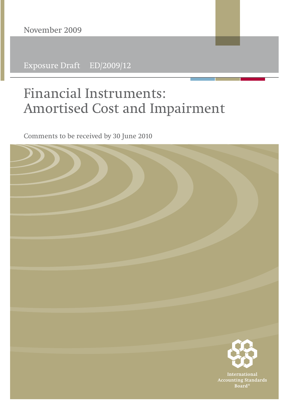November 2009

Exposure Draft ED/2009/12

# **Financial Instruments: Amortised Cost and Impairment**

Comments to be received by 30 June 2010

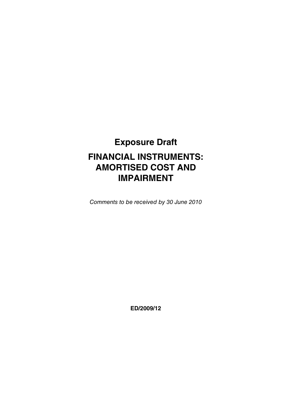## **Exposure Draft FINANCIAL INSTRUMENTS: AMORTISED COST AND IMPAIRMENT**

Comments to be received by 30 June 2010

**ED/2009/12**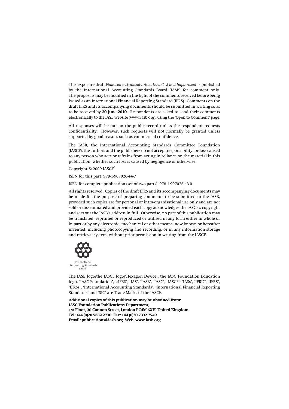This exposure draft *Financial Instruments: Amortised Cost and Impairment* is published by the International Accounting Standards Board (IASB) for comment only. The proposals may be modified in the light of the comments received before being issued as an International Financial Reporting Standard (IFRS). Comments on the draft IFRS and its accompanying documents should be submitted in writing so as to be received by **30 June 2010.** Respondents are asked to send their comments electronically to the IASB website (www.iasb.org), using the 'Open to Comment' page.

All responses will be put on the public record unless the respondent requests confidentiality. However, such requests will not normally be granted unless supported by good reason, such as commercial confidence.

The IASB, the International Accounting Standards Committee Foundation (IASCF), the authors and the publishers do not accept responsibility for loss caused to any person who acts or refrains from acting in reliance on the material in this publication, whether such loss is caused by negligence or otherwise.

Copyright  $©$  2009 IASCF

ISBN for this part: 978-1-907026-44-7

ISBN for complete publication (set of two parts): 978-1-907026-43-0

All rights reserved. Copies of the draft IFRS and its accompanying documents may be made for the purpose of preparing comments to be submitted to the IASB, provided such copies are for personal or intra-organisational use only and are not sold or disseminated and provided each copy acknowledges the IASCF's copyright and sets out the IASB's address in full. Otherwise, no part of this publication may be translated, reprinted or reproduced or utilised in any form either in whole or in part or by any electronic, mechanical or other means, now known or hereafter invented, including photocopying and recording, or in any information storage and retrieval system, without prior permission in writing from the IASCF.



Accounting Standards

The IASB logo/the IASCF logo/'Hexagon Device', the IASC Foundation Education logo, 'IASC Foundation', '*e*IFRS', 'IAS', 'IASB', 'IASC', 'IASCF', 'IASs', 'IFRIC', 'IFRS', 'IFRSs', 'International Accounting Standards', 'International Financial Reporting Standards' and 'SIC' are Trade Marks of the IASCF.

**Additional copies of this publication may be obtained from: IASC Foundation Publications Department, 1st Floor, 30 Cannon Street, London EC4M 6XH, United Kingdom. Tel: +44 (0)20 7332 2730 Fax: +44 (0)20 7332 2749 Email: publications@iasb.org Web: www.iasb.org**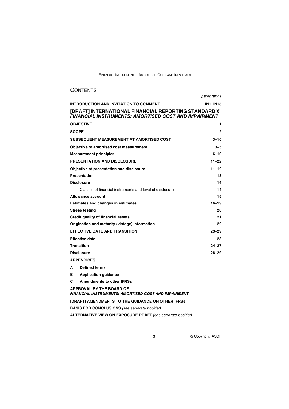### **CONTENTS**

paragraphs **INTRODUCTION AND INVITATION TO COMMENT INTERIODUCTION AND INVITATION TO COMMENT [DRAFT] INTERNATIONAL FINANCIAL REPORTING STANDARD X**  *FINANCIAL INSTRUMENTS: AMORTISED COST AND IMPAIRMENT* **OBJECTIVE 1 SCOPE 2 SUBSEQUENT MEASUREMENT AT AMORTISED COST 3–10 Objective of amortised cost measurement 3–5 Measurement principles 6–10 PRESENTATION AND DISCLOSURE 11–22** Objective of presentation and disclosure 11–12 **Presentation** 13 **Disclosure 14** Classes of financial instruments and level of disclosure 14 **Allowance account 15 Estimates and changes in estimates 16–19 Stress testing 20 Credit quality of financial assets 21 Origination and maturity (vintage) information 22 EFFECTIVE DATE AND TRANSITION 23–29 Effective date** 23 **Transition 24–27 Disclosure 28–29 APPENDICES**

- **A Defined terms**
- **B Application guidance**
- **C Amendments to other IFRSs**

**APPROVAL BY THE BOARD OF**  *FINANCIAL INSTRUMENTS: AMORTISED COST AND IMPAIRMENT*

**[DRAFT] AMENDMENTS TO THE GUIDANCE ON OTHER IFRSs**

**BASIS FOR CONCLUSIONS** (see separate booklet)

**ALTERNATIVE VIEW ON EXPOSURE DRAFT** (see separate booklet)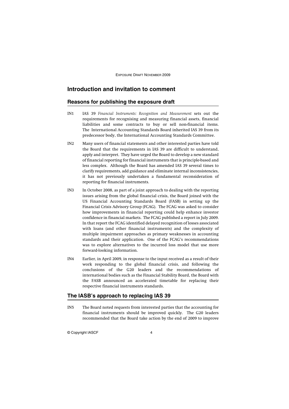### **Introduction and invitation to comment**

### **Reasons for publishing the exposure draft**

- IN1 IAS 39 *Financial Instruments: Recognition and Measurement* sets out the requirements for recognising and measuring financial assets, financial liabilities and some contracts to buy or sell non-financial items. The International Accounting Standards Board inherited IAS 39 from its predecessor body, the International Accounting Standards Committee.
- IN2 Many users of financial statements and other interested parties have told the Board that the requirements in IAS 39 are difficult to understand, apply and interpret. They have urged the Board to develop a new standard of financial reporting for financial instruments that is principle-based and less complex. Although the Board has amended IAS 39 several times to clarify requirements, add guidance and eliminate internal inconsistencies, it has not previously undertaken a fundamental reconsideration of reporting for financial instruments.
- IN3 In October 2008, as part of a joint approach to dealing with the reporting issues arising from the global financial crisis, the Board joined with the US Financial Accounting Standards Board (FASB) in setting up the Financial Crisis Advisory Group (FCAG). The FCAG was asked to consider how improvements in financial reporting could help enhance investor confidence in financial markets. The FCAG published a report in July 2009. In that report the FCAG identified delayed recognition of losses associated with loans (and other financial instruments) and the complexity of multiple impairment approaches as primary weaknesses in accounting standards and their application. One of the FCAG's recommendations was to explore alternatives to the incurred loss model that use more forward-looking information.
- IN4 Earlier, in April 2009, in response to the input received as a result of their work responding to the global financial crisis, and following the conclusions of the G20 leaders and the recommendations of international bodies such as the Financial Stability Board, the Board with the FASB announced an accelerated timetable for replacing their respective financial instruments standards.

### **The IASB's approach to replacing IAS 39**

IN5 The Board noted requests from interested parties that the accounting for financial instruments should be improved quickly. The G20 leaders recommended that the Board take action by the end of 2009 to improve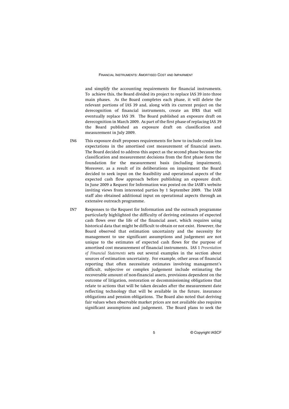and simplify the accounting requirements for financial instruments. To achieve this, the Board divided its project to replace IAS 39 into three main phases. As the Board completes each phase, it will delete the relevant portions of IAS 39 and, along with its current project on the derecognition of financial instruments, create an IFRS that will eventually replace IAS 39. The Board published an exposure draft on derecognition in March 2009. As part of the first phase of replacing IAS 39 the Board published an exposure draft on classification and measurement in July 2009.

- IN6 This exposure draft proposes requirements for how to include credit loss expectations in the amortised cost measurement of financial assets. The Board decided to address this aspect as the second phase because the classification and measurement decisions from the first phase form the foundation for the measurement basis (including impairment). Moreover, as a result of its deliberations on impairment the Board decided to seek input on the feasibility and operational aspects of the expected cash flow approach before publishing an exposure draft. In June 2009 a Request for Information was posted on the IASB's website inviting views from interested parties by 1 September 2009. The IASB staff also obtained additional input on operational aspects through an extensive outreach programme.
- IN7 Responses to the Request for Information and the outreach programme particularly highlighted the difficulty of deriving estimates of expected cash flows over the life of the financial asset, which requires using historical data that might be difficult to obtain or not exist. However, the Board observed that estimation uncertainty and the necessity for management to use significant assumptions and judgement are not unique to the estimates of expected cash flows for the purpose of amortised cost measurement of financial instruments. IAS 1 *Presentation of Financial Statements* sets out several examples in the section about sources of estimation uncertainty. For example, other areas of financial reporting that often necessitate estimates involving management's difficult, subjective or complex judgement include estimating the recoverable amount of non-financial assets, provisions dependent on the outcome of litigation, restoration or decommissioning obligations that relate to actions that will be taken decades after the measurement date reflecting technology that will be available in the future, insurance obligations and pension obligations. The Board also noted that deriving fair values when observable market prices are not available also requires significant assumptions and judgement. The Board plans to seek the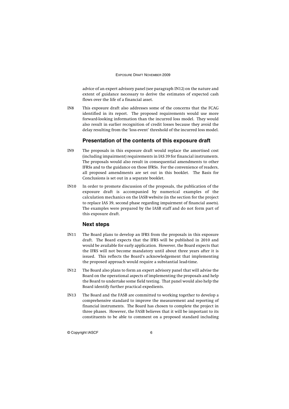advice of an expert advisory panel (see paragraph IN12) on the nature and extent of guidance necessary to derive the estimates of expected cash flows over the life of a financial asset.

IN8 This exposure draft also addresses some of the concerns that the FCAG identified in its report. The proposed requirements would use more forward-looking information than the incurred loss model. They would also result in earlier recognition of credit losses because they avoid the delay resulting from the 'loss event' threshold of the incurred loss model.

### **Presentation of the contents of this exposure draft**

- IN9 The proposals in this exposure draft would replace the amortised cost (including impairment) requirements in IAS 39 for financial instruments. The proposals would also result in consequential amendments to other IFRSs and to the guidance on those IFRSs. For the convenience of readers, all proposed amendments are set out in this booklet. The Basis for Conclusions is set out in a separate booklet.
- IN10 In order to promote discussion of the proposals, the publication of the exposure draft is accompanied by numerical examples of the calculation mechanics on the IASB website (in the section for the project to replace IAS 39, second phase regarding impairment of financial assets). The examples were prepared by the IASB staff and do not form part of this exposure draft.

### **Next steps**

- IN11 The Board plans to develop an IFRS from the proposals in this exposure draft. The Board expects that the IFRS will be published in 2010 and would be available for early application. However, the Board expects that the IFRS will not become mandatory until about three years after it is issued. This reflects the Board's acknowledgement that implementing the proposed approach would require a substantial lead-time.
- IN12 The Board also plans to form an expert advisory panel that will advise the Board on the operational aspects of implementing the proposals and help the Board to undertake some field testing. That panel would also help the Board identify further practical expedients.
- IN13 The Board and the FASB are committed to working together to develop a comprehensive standard to improve the measurement and reporting of financial instruments. The Board has chosen to complete the project in three phases. However, the FASB believes that it will be important to its constituents to be able to comment on a proposed standard including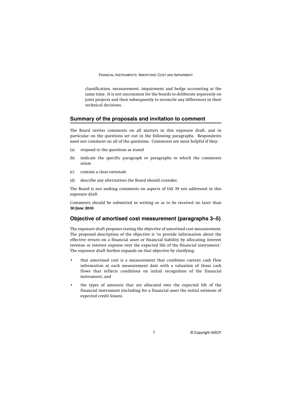classification, measurement, impairment and hedge accounting at the same time. It is not uncommon for the boards to deliberate separately on joint projects and then subsequently to reconcile any differences in their technical decisions.

### **Summary of the proposals and invitation to comment**

The Board invites comments on all matters in this exposure draft, and in particular on the questions set out in the following paragraphs. Respondents need not comment on all of the questions. Comments are most helpful if they:

- (a) respond to the questions as stated
- (b) indicate the specific paragraph or paragraphs to which the comments relate
- (c) contain a clear rationale
- (d) describe any alternatives the Board should consider.

The Board is not seeking comments on aspects of IAS 39 not addressed in this exposure draft.

Comments should be submitted in writing so as to be received no later than **30 June 2010**.

### **Objective of amortised cost measurement (paragraphs 3–5)**

The exposure draft proposes stating the objective of amortised cost measurement. The proposed description of the objective is 'to provide information about the effective return on a financial asset or financial liability by allocating interest revenue or interest expense over the expected life of the financial instrument.' The exposure draft further expands on that objective by clarifying:

- that amortised cost is a measurement that combines current cash flow information at each measurement date with a valuation of those cash flows that reflects conditions on initial recognition of the financial instrument; and
- the types of amounts that are allocated over the expected life of the financial instrument (including for a financial asset the initial estimate of expected credit losses).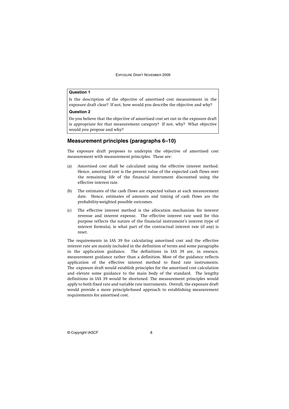### **Question 1**

Is the description of the objective of amortised cost measurement in the exposure draft clear? If not, how would you describe the objective and why?

### **Question 2**

Do you believe that the objective of amortised cost set out in the exposure draft is appropriate for that measurement category? If not, why? What objective would you propose and why?

### **Measurement principles (paragraphs 6–10)**

The exposure draft proposes to underpin the objective of amortised cost measurement with measurement principles. These are:

- (a) Amortised cost shall be calculated using the effective interest method. Hence, amortised cost is the present value of the expected cash flows over the remaining life of the financial instrument discounted using the effective interest rate.
- (b) The estimates of the cash flows are expected values at each measurement date. Hence, estimates of amounts and timing of cash flows are the probability-weighted possible outcomes.
- (c) The effective interest method is the allocation mechanism for interest revenue and interest expense. The effective interest rate used for this purpose reflects the nature of the financial instrument's interest (type of interest formula), ie what part of the contractual interest rate (if any) is reset.

The requirements in IAS 39 for calculating amortised cost and the effective interest rate are mainly included in the definition of terms and some paragraphs in the application guidance. The definitions in IAS 39 are, in essence, measurement guidance rather than a definition. Most of the guidance reflects application of the effective interest method to fixed rate instruments. The exposure draft would establish principles for the amortised cost calculation and elevate some guidance to the main body of the standard. The lengthy definitions in IAS 39 would be shortened. The measurement principles would apply to both fixed rate and variable rate instruments. Overall, the exposure draft would provide a more principle-based approach to establishing measurement requirements for amortised cost.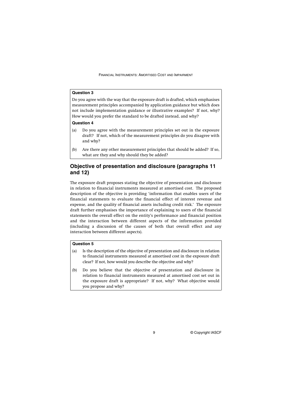### **Question 3**

Do you agree with the way that the exposure draft is drafted, which emphasises measurement principles accompanied by application guidance but which does not include implementation guidance or illustrative examples? If not, why? How would you prefer the standard to be drafted instead, and why?

### **Question 4**

- (a) Do you agree with the measurement principles set out in the exposure draft? If not, which of the measurement principles do you disagree with and why?
- (b) Are there any other measurement principles that should be added? If so, what are they and why should they be added?

### **Objective of presentation and disclosure (paragraphs 11 and 12)**

The exposure draft proposes stating the objective of presentation and disclosure in relation to financial instruments measured at amortised cost. The proposed description of the objective is providing 'information that enables users of the financial statements to evaluate the financial effect of interest revenue and expense, and the quality of financial assets including credit risk.' The exposure draft further emphasises the importance of explaining to users of the financial statements the overall effect on the entity's performance and financial position and the interaction between different aspects of the information provided (including a discussion of the causes of both that overall effect and any interaction between different aspects).

### **Question 5**

- (a) Is the description of the objective of presentation and disclosure in relation to financial instruments measured at amortised cost in the exposure draft clear? If not, how would you describe the objective and why?
- (b) Do you believe that the objective of presentation and disclosure in relation to financial instruments measured at amortised cost set out in the exposure draft is appropriate? If not, why? What objective would you propose and why?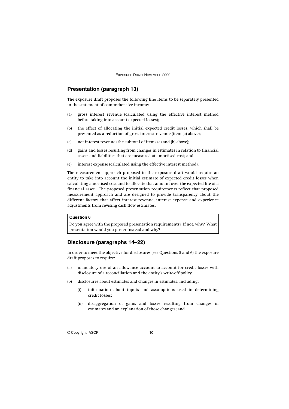### **Presentation (paragraph 13)**

The exposure draft proposes the following line items to be separately presented in the statement of comprehensive income:

- (a) gross interest revenue (calculated using the effective interest method before taking into account expected losses);
- (b) the effect of allocating the initial expected credit losses, which shall be presented as a reduction of gross interest revenue (item (a) above);
- (c) net interest revenue (the subtotal of items (a) and (b) above);
- (d) gains and losses resulting from changes in estimates in relation to financial assets and liabilities that are measured at amortised cost; and
- (e) interest expense (calculated using the effective interest method).

The measurement approach proposed in the exposure draft would require an entity to take into account the initial estimate of expected credit losses when calculating amortised cost and to allocate that amount over the expected life of a financial asset. The proposed presentation requirements reflect that proposed measurement approach and are designed to provide transparency about the different factors that affect interest revenue, interest expense and experience adjustments from revising cash flow estimates.

### **Question 6**

Do you agree with the proposed presentation requirements? If not, why? What presentation would you prefer instead and why?

### **Disclosure (paragraphs 14–22)**

In order to meet the objective for disclosures (see Questions 5 and 6) the exposure draft proposes to require:

- (a) mandatory use of an allowance account to account for credit losses with disclosure of a reconciliation and the entity's write-off policy.
- (b) disclosures about estimates and changes in estimates, including:
	- (i) information about inputs and assumptions used in determining credit losses;
	- (ii) disaggregation of gains and losses resulting from changes in estimates and an explanation of those changes; and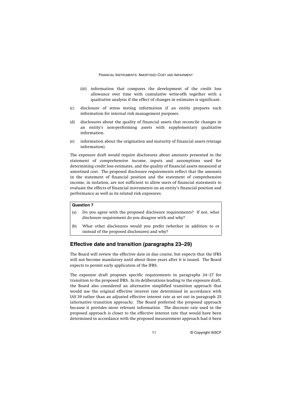- (iii) information that compares the development of the credit loss allowance over time with cumulative write-offs together with a qualitative analysis if the effect of changes in estimates is significant.
- (c) disclosure of stress testing information if an entity prepares such information for internal risk management purposes.
- (d) disclosures about the quality of financial assets that reconcile changes in an entity's non-performing assets with supplementary qualitative information.
- (e) information about the origination and maturity of financial assets (vintage information).

The exposure draft would require disclosures about amounts presented in the statement of comprehensive income, inputs and assumptions used for determining credit loss estimates, and the quality of financial assets measured at amortised cost. The proposed disclosure requirements reflect that the amounts in the statement of financial position and the statement of comprehensive income, in isolation, are not sufficient to allow users of financial statements to evaluate the effects of financial instruments on an entity's financial position and performance as well as its related risk exposures.

### **Question 7**

- (a) Do you agree with the proposed disclosure requirements? If not, what disclosure requirement do you disagree with and why?
- (b) What other disclosures would you prefer (whether in addition to or instead of the proposed disclosures) and why?

### **Effective date and transition (paragraphs 23–29)**

The Board will review the effective date in due course, but expects that the IFRS will not become mandatory until about three years after it is issued. The Board expects to permit early application of the IFRS.

The exposure draft proposes specific requirements in paragraphs 24–27 for transition to the proposed IFRS. In its deliberations leading to the exposure draft, the Board also considered an alternative simplified transition approach that would use the original effective interest rate determined in accordance with IAS 39 rather than an adjusted effective interest rate as set out in paragraph 25 (alternative transition approach). The Board preferred the proposed approach because it provides more relevant information. The discount rate used in the proposed approach is closer to the effective interest rate that would have been determined in accordance with the proposed measurement approach had it been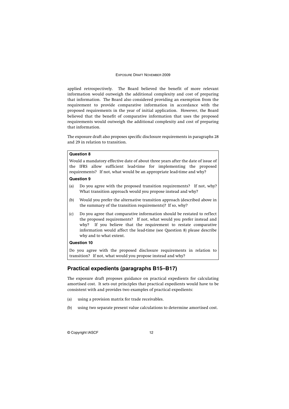applied retrospectively. The Board believed the benefit of more relevant information would outweigh the additional complexity and cost of preparing that information. The Board also considered providing an exemption from the requirement to provide comparative information in accordance with the proposed requirements in the year of initial application. However, the Board believed that the benefit of comparative information that uses the proposed requirements would outweigh the additional complexity and cost of preparing that information.

The exposure draft also proposes specific disclosure requirements in paragraphs 28 and 29 in relation to transition.

#### **Question 8**

Would a mandatory effective date of about three years after the date of issue of the IFRS allow sufficient lead-time for implementing the proposed requirements? If not, what would be an appropriate lead-time and why?

### **Question 9**

- (a) Do you agree with the proposed transition requirements? If not, why? What transition approach would you propose instead and why?
- (b) Would you prefer the alternative transition approach (described above in the summary of the transition requirements)? If so, why?
- (c) Do you agree that comparative information should be restated to reflect the proposed requirements? If not, what would you prefer instead and why? If you believe that the requirement to restate comparative information would affect the lead-time (see Question 8) please describe why and to what extent.

### **Question 10**

Do you agree with the proposed disclosure requirements in relation to transition? If not, what would you propose instead and why?

### **Practical expedients (paragraphs B15–B17)**

The exposure draft proposes guidance on practical expedients for calculating amortised cost. It sets out principles that practical expedients would have to be consistent with and provides two examples of practical expedients:

- (a) using a provision matrix for trade receivables.
- (b) using two separate present value calculations to determine amortised cost.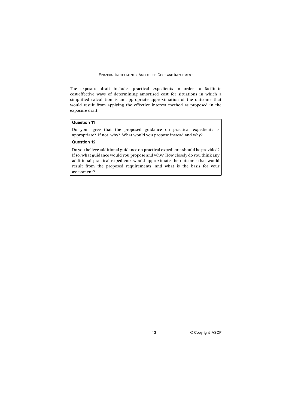The exposure draft includes practical expedients in order to facilitate cost-effective ways of determining amortised cost for situations in which a simplified calculation is an appropriate approximation of the outcome that would result from applying the effective interest method as proposed in the exposure draft.

### **Question 11**

Do you agree that the proposed guidance on practical expedients is appropriate? If not, why? What would you propose instead and why?

### **Question 12**

Do you believe additional guidance on practical expedients should be provided? If so, what guidance would you propose and why? How closely do you think any additional practical expedients would approximate the outcome that would result from the proposed requirements, and what is the basis for your assessment?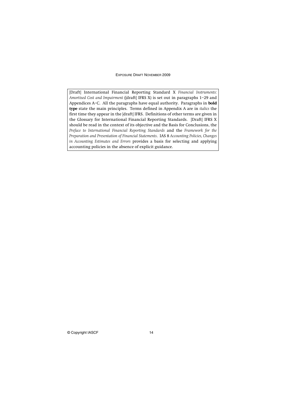[Draft] International Financial Reporting Standard X *Financial Instruments: Amortised Cost and Impairment* ([draft] IFRS X) is set out in paragraphs 1–29 and Appendices A–C. All the paragraphs have equal authority. Paragraphs in **bold type** state the main principles. Terms defined in Appendix A are in *italics* the first time they appear in the [draft] IFRS. Definitions of other terms are given in the Glossary for International Financial Reporting Standards. [Draft] IFRS X should be read in the context of its objective and the Basis for Conclusions, the *Preface to International Financial Reporting Standards* and the *Framework for the Preparation and Presentation of Financial Statements*. IAS 8 *Accounting Policies, Changes in Accounting Estimates and Errors* provides a basis for selecting and applying accounting policies in the absence of explicit guidance.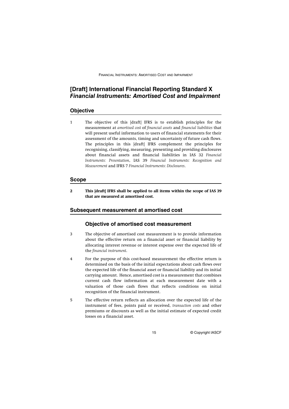### **[Draft] International Financial Reporting Standard X**  *Financial Instruments: Amortised Cost and Impairment*

### **Objective**

1 The objective of this [draft] IFRS is to establish principles for the measurement at *amortised cost* of *financial assets* and *financial liabilities* that will present useful information to users of financial statements for their assessment of the amounts, timing and uncertainty of future cash flows. The principles in this [draft] IFRS complement the principles for recognising, classifying, measuring, presenting and providing disclosures about financial assets and financial liabilities in IAS 32 *Financial Instruments: Presentation*, IAS 39 *Financial Instruments: Recognition and Measurement* and IFRS 7 *Financial Instruments: Disclosures*.

### **Scope**

**2 This [draft] IFRS shall be applied to all items within the scope of IAS 39 that are measured at amortised cost.**

### **Subsequent measurement at amortised cost**

### **Objective of amortised cost measurement**

- 3 The objective of amortised cost measurement is to provide information about the effective return on a financial asset or financial liability by allocating interest revenue or interest expense over the expected life of the *financial instrument*.
- 4 For the purpose of this cost-based measurement the effective return is determined on the basis of the initial expectations about cash flows over the expected life of the financial asset or financial liability and its initial carrying amount. Hence, amortised cost is a measurement that combines current cash flow information at each measurement date with a valuation of those cash flows that reflects conditions on initial recognition of the financial instrument.
- 5 The effective return reflects an allocation over the expected life of the instrument of fees, points paid or received, *transaction costs* and other premiums or discounts as well as the initial estimate of expected credit losses on a financial asset.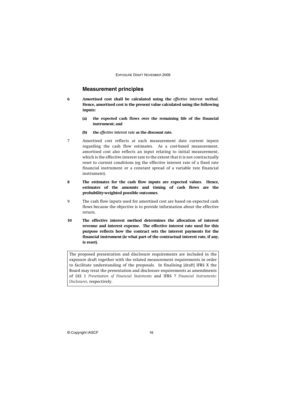### **Measurement principles**

- **6 Amortised cost shall be calculated using the** *effective interest method***. Hence, amortised cost is the present value calculated using the following inputs:**
	- **(a) the expected cash flows over the remaining life of the financial instrument; and**
	- **(b) the** *effective interest rate* **as the discount rate.**
- 7 Amortised cost reflects at each measurement date current inputs regarding the cash flow estimates. As a cost-based measurement, amortised cost also reflects an input relating to initial measurement, which is the effective interest rate to the extent that it is not contractually reset to current conditions (eg the effective interest rate of a fixed rate financial instrument or a constant spread of a variable rate financial instrument).
- **8 The estimates for the cash flow inputs are expected values. Hence, estimates of the amounts and timing of cash flows are the probability-weighted possible outcomes.**
- 9 The cash flow inputs used for amortised cost are based on expected cash flows because the objective is to provide information about the effective return.
- **10 The effective interest method determines the allocation of interest revenue and interest expense. The effective interest rate used for this purpose reflects how the contract sets the interest payments for the financial instrument (ie what part of the contractual interest rate, if any, is reset).**

The proposed presentation and disclosure requirements are included in the exposure draft together with the related measurement requirements in order to facilitate understanding of the proposals. In finalising [draft] IFRS X the Board may treat the presentation and disclosure requirements as amendments of IAS 1 *Presentation of Financial Statements* and IFRS 7 *Financial Instruments: Disclosures*, respectively.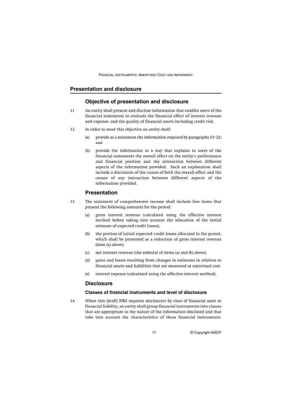### **Presentation and disclosure**

### **Objective of presentation and disclosure**

- 11 An entity shall present and disclose information that enables users of the financial statements to evaluate the financial effect of interest revenue and expense, and the quality of financial assets including credit risk.
- 12 In order to meet this objective an entity shall:
	- (a) provide as a minimum the information required by paragraphs 13–22; and
	- (b) provide the information in a way that explains to users of the financial statements the overall effect on the entity's performance and financial position and the interaction between different aspects of the information provided. Such an explanation shall include a discussion of the causes of both the overall effect and the causes of any interaction between different aspects of the information provided.

### **Presentation**

- 13 The statement of comprehensive income shall include line items that present the following amounts for the period:
	- (a) gross interest revenue (calculated using the effective interest method before taking into account the allocation of the initial estimate of expected credit losses).
	- (b) the portion of initial expected credit losses allocated to the period, which shall be presented as a reduction of gross interest revenue (item (a) above).
	- (c) net interest revenue (the subtotal of items (a) and (b) above).
	- (d) gains and losses resulting from changes in estimates in relation to financial assets and liabilities that are measured at amortised cost.
	- (e) interest expense (calculated using the effective interest method).

### **Disclosure**

### **Classes of financial instruments and level of disclosure**

14 When this [draft] IFRS requires disclosures by class of financial asset or financial liability, an entity shall group financial instruments into classes that are appropriate to the nature of the information disclosed and that take into account the characteristics of those financial instruments.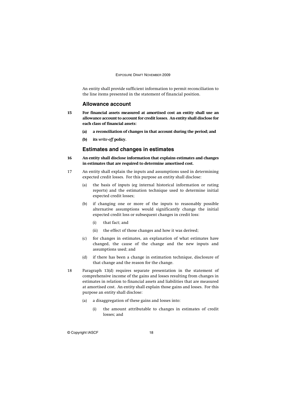An entity shall provide sufficient information to permit reconciliation to the line items presented in the statement of financial position.

### **Allowance account**

- **15 For financial assets measured at amortised cost an entity shall use an allowance account to account for credit losses. An entity shall disclose for each class of financial assets:**
	- **(a) a reconciliation of changes in that account during the period; and**
	- **(b) its** *write-off* **policy.**

### **Estimates and changes in estimates**

- **16 An entity shall disclose information that explains estimates and changes in estimates that are required to determine amortised cost.**
- 17 An entity shall explain the inputs and assumptions used in determining expected credit losses. For this purpose an entity shall disclose:
	- (a) the basis of inputs (eg internal historical information or rating reports) and the estimation technique used to determine initial expected credit losses;
	- (b) if changing one or more of the inputs to reasonably possible alternative assumptions would significantly change the initial expected credit loss or subsequent changes in credit loss:
		- (i) that fact; and
		- (ii) the effect of those changes and how it was derived;
	- (c) for changes in estimates, an explanation of what estimates have changed, the cause of the change and the new inputs and assumptions used; and
	- (d) if there has been a change in estimation technique, disclosure of that change and the reason for the change.
- 18 Paragraph 13(d) requires separate presentation in the statement of comprehensive income of the gains and losses resulting from changes in estimates in relation to financial assets and liabilities that are measured at amortised cost. An entity shall explain those gains and losses. For this purpose an entity shall disclose:
	- (a) a disaggregation of these gains and losses into:
		- (i) the amount attributable to changes in estimates of credit losses; and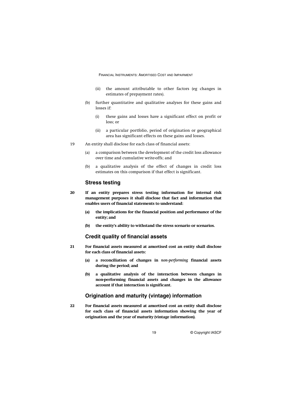- (ii) the amount attributable to other factors (eg changes in estimates of prepayment rates).
- (b) further quantitative and qualitative analyses for these gains and losses if:
	- (i) these gains and losses have a significant effect on profit or loss; or
	- (ii) a particular portfolio, period of origination or geographical area has significant effects on these gains and losses.
- 19 An entity shall disclose for each class of financial assets:
	- (a) a comparison between the development of the credit loss allowance over time and cumulative write-offs; and
	- (b) a qualitative analysis of the effect of changes in credit loss estimates on this comparison if that effect is significant.

### **Stress testing**

- **20 If an entity prepares stress testing information for internal risk management purposes it shall disclose that fact and information that enables users of financial statements to understand:**
	- **(a) the implications for the financial position and performance of the entity; and**
	- **(b) the entity's ability to withstand the stress scenario or scenarios.**

### **Credit quality of financial assets**

- **21 For financial assets measured at amortised cost an entity shall disclose for each class of financial assets:**
	- **(a) a reconciliation of changes in** *non-performing* **financial assets during the period; and**
	- **(b) a qualitative analysis of the interaction between changes in non-performing financial assets and changes in the allowance account if that interaction is significant.**

### **Origination and maturity (vintage) information**

**22 For financial assets measured at amortised cost an entity shall disclose for each class of financial assets information showing the year of origination and the year of maturity (vintage information).**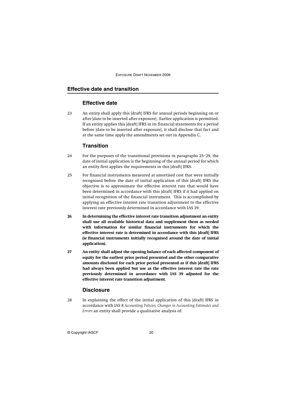### **Effective date and transition**

### **Effective date**

23 An entity shall apply this [draft] IFRS for annual periods beginning on or after [date to be inserted after exposure]. Earlier application is permitted. If an entity applies this [draft] IFRS in its financial statements for a period before [date to be inserted after exposure], it shall disclose that fact and at the same time apply the amendments set out in Appendix C.

### **Transition**

- 24 For the purposes of the transitional provisions in paragraphs 25–29, the date of initial application is the beginning of the annual period for which an entity first applies the requirements in this [draft] IFRS.
- 25 For financial instruments measured at amortised cost that were initially recognised before the date of initial application of this [draft] IFRS the objective is to approximate the effective interest rate that would have been determined in accordance with this [draft] IFRS if it had applied on initial recognition of the financial instrument. This is accomplished by applying an effective interest rate transition adjustment to the effective interest rate previously determined in accordance with IAS 39.
- **26 In determining the effective interest rate transition adjustment an entity shall use all available historical data and supplement them as needed with information for similar financial instruments for which the effective interest rate is determined in accordance with this [draft] IFRS (ie financial instruments initially recognised around the date of initial application).**
- **27 An entity shall adjust the opening balance of each affected component of equity for the earliest prior period presented and the other comparative amounts disclosed for each prior period presented as if this [draft] IFRS had always been applied but use as the effective interest rate the rate previously determined in accordance with IAS 39 adjusted for the effective interest rate transition adjustment.**

### **Disclosure**

28 In explaining the effect of the initial application of this [draft] IFRS in accordance with IAS 8 *Accounting Policies, Changes in Accounting Estimates and Errors* an entity shall provide a qualitative analysis of: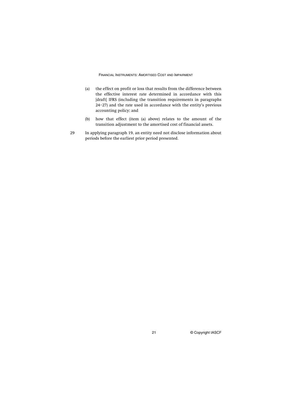- (a) the effect on profit or loss that results from the difference between the effective interest rate determined in accordance with this [draft] IFRS (including the transition requirements in paragraphs 24–27) and the rate used in accordance with the entity's previous accounting policy; and
- (b) how that effect (item (a) above) relates to the amount of the transition adjustment to the amortised cost of financial assets.
- 29 In applying paragraph 19, an entity need not disclose information about periods before the earliest prior period presented.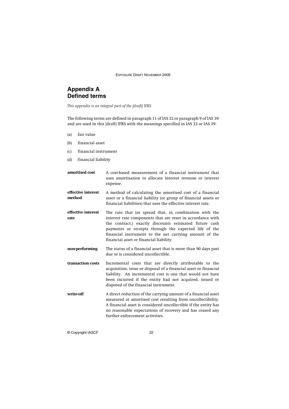### **Appendix A Defined terms**

*This appendix is an integral part of the [draft] IFRS.* 

The following terms are defined in paragraph 11 of IAS 32 or paragraph 9 of IAS 39 and are used in this [draft] IFRS with the meanings specified in IAS 32 or IAS 39:

- (a) fair value
- (b) financial asset
- (c) financial instrument
- (d) financial liability

| amortised cost               | A cost-based measurement of a financial instrument that<br>uses amortisation to allocate interest revenue or interest<br>expense.                                                                                                                                                                                                            |
|------------------------------|----------------------------------------------------------------------------------------------------------------------------------------------------------------------------------------------------------------------------------------------------------------------------------------------------------------------------------------------|
| effective interest<br>method | A method of calculating the amortised cost of a financial<br>asset or a financial liability (or group of financial assets or<br>financial liabilities) that uses the effective interest rate.                                                                                                                                                |
| effective interest<br>rate   | The rate that (or spread that, in combination with the<br>interest rate components that are reset in accordance with<br>the contract,) exactly discounts estimated future cash<br>payments or receipts through the expected life of the<br>financial instrument to the net carrying amount of the<br>financial asset or financial liability. |
| non-performing               | The status of a financial asset that is more than 90 days past<br>due or is considered uncollectible.                                                                                                                                                                                                                                        |
| transaction costs            | Incremental costs that are directly attributable to the<br>acquisition, issue or disposal of a financial asset or financial<br>liability. An incremental cost is one that would not have<br>been incurred if the entity had not acquired, issued or<br>disposed of the financial instrument.                                                 |
| write-off                    | A direct reduction of the carrying amount of a financial asset<br>measured at amortised cost resulting from uncollectibility.<br>A financial asset is considered uncollectible if the entity has<br>no reasonable expectations of recovery and has ceased any<br>further enforcement activities.                                             |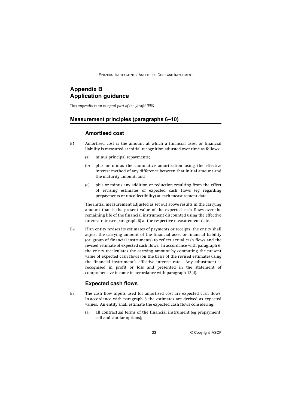### **Appendix B Application guidance**

*This appendix is an integral part of the [draft] IFRS.*

### **Measurement principles (paragraphs 6–10)**

### **Amortised cost**

- B1 Amortised cost is the amount at which a financial asset or financial liability is measured at initial recognition adjusted over time as follows:
	- (a) minus principal repayments;
	- (b) plus or minus the cumulative amortisation using the effective interest method of any difference between that initial amount and the maturity amount; and
	- (c) plus or minus any addition or reduction resulting from the effect of revising estimates of expected cash flows (eg regarding prepayments or uncollectibility) at each measurement date.

The initial measurement adjusted as set out above results in the carrying amount that is the present value of the expected cash flows over the remaining life of the financial instrument discounted using the effective interest rate (see paragraph 6) at the respective measurement date.

B2 If an entity revises its estimates of payments or receipts, the entity shall adjust the carrying amount of the financial asset or financial liability (or group of financial instruments) to reflect actual cash flows and the revised estimate of expected cash flows. In accordance with paragraph 6, the entity recalculates the carrying amount by computing the present value of expected cash flows (on the basis of the revised estimate) using the financial instrument's effective interest rate. Any adjustment is recognised in profit or loss and presented in the statement of comprehensive income in accordance with paragraph 13(d).

### **Expected cash flows**

- B3 The cash flow inputs used for amortised cost are expected cash flows. In accordance with paragraph 8 the estimates are derived as expected values. An entity shall estimate the expected cash flows considering:
	- (a) all contractual terms of the financial instrument (eg prepayment, call and similar options);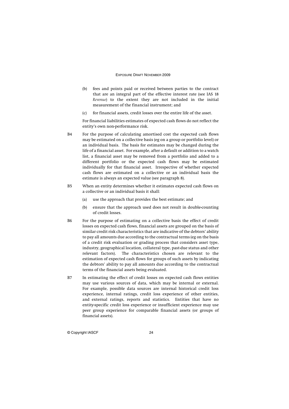- (b) fees and points paid or received between parties to the contract that are an integral part of the effective interest rate (see IAS 18 *Revenue*) to the extent they are not included in the initial measurement of the financial instrument; and
- (c) for financial assets, credit losses over the entire life of the asset.

For financial liabilities estimates of expected cash flows do not reflect the entity's own non-performance risk.

- B4 For the purpose of calculating amortised cost the expected cash flows may be estimated on a collective basis (eg on a group or portfolio level) or an individual basis. The basis for estimates may be changed during the life of a financial asset. For example, after a default or addition to a watch list, a financial asset may be removed from a portfolio and added to a different portfolio or the expected cash flows may be estimated individually for that financial asset. Irrespective of whether expected cash flows are estimated on a collective or an individual basis the estimate is always an expected value (see paragraph 8).
- B5 When an entity determines whether it estimates expected cash flows on a collective or an individual basis it shall:
	- (a) use the approach that provides the best estimate; and
	- (b) ensure that the approach used does not result in double-counting of credit losses.
- B6 For the purpose of estimating on a collective basis the effect of credit losses on expected cash flows, financial assets are grouped on the basis of similar credit risk characteristics that are indicative of the debtors' ability to pay all amounts due according to the contractual terms (eg on the basis of a credit risk evaluation or grading process that considers asset type, industry, geographical location, collateral type, past-due status and other relevant factors). The characteristics chosen are relevant to the estimation of expected cash flows for groups of such assets by indicating the debtors' ability to pay all amounts due according to the contractual terms of the financial assets being evaluated.
- B7 In estimating the effect of credit losses on expected cash flows entities may use various sources of data, which may be internal or external. For example, possible data sources are internal historical credit loss experience, internal ratings, credit loss experience of other entities, and external ratings, reports and statistics. Entities that have no entity-specific credit loss experience or insufficient experience may use peer group experience for comparable financial assets (or groups of financial assets).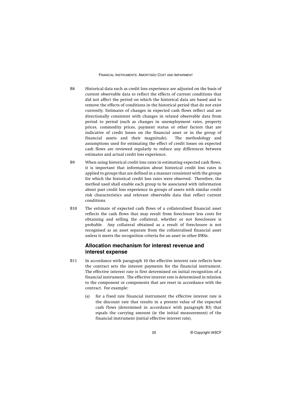- B8 Historical data such as credit loss experience are adjusted on the basis of current observable data to reflect the effects of current conditions that did not affect the period on which the historical data are based and to remove the effects of conditions in the historical period that do not exist currently. Estimates of changes in expected cash flows reflect and are directionally consistent with changes in related observable data from period to period (such as changes in unemployment rates, property prices, commodity prices, payment status or other factors that are indicative of credit losses on the financial asset or in the group of financial assets and their magnitude). The methodology and assumptions used for estimating the effect of credit losses on expected cash flows are reviewed regularly to reduce any differences between estimates and actual credit loss experience.
- B9 When using historical credit loss rates in estimating expected cash flows, it is important that information about historical credit loss rates is applied to groups that are defined in a manner consistent with the groups for which the historical credit loss rates were observed. Therefore, the method used shall enable each group to be associated with information about past credit loss experience in groups of assets with similar credit risk characteristics and relevant observable data that reflect current conditions.
- B10 The estimate of expected cash flows of a collateralised financial asset reflects the cash flows that may result from foreclosure less costs for obtaining and selling the collateral, whether or not foreclosure is probable. Any collateral obtained as a result of foreclosure is not recognised as an asset separate from the collateralised financial asset unless it meets the recognition criteria for an asset in other IFRSs.

### **Allocation mechanism for interest revenue and interest expense**

- B11 In accordance with paragraph 10 the effective interest rate reflects how the contract sets the interest payments for the financial instrument. The effective interest rate is first determined on initial recognition of a financial instrument. The effective interest rate is determined in relation to the component or components that are reset in accordance with the contract. For example:
	- (a) for a fixed rate financial instrument the effective interest rate is the discount rate that results in a present value of the expected cash flows (determined in accordance with paragraph B3) that equals the carrying amount (ie the initial measurement) of the financial instrument (initial effective interest rate).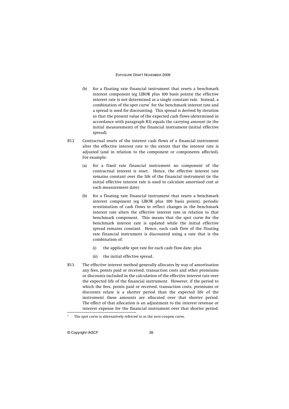- (b) for a floating rate financial instrument that resets a benchmark interest component (eg LIBOR plus 100 basis points) the effective interest rate is not determined as a single constant rate. Instead, a combination of the spot curve\* for the benchmark interest rate and a spread is used for discounting. This spread is derived by iteration so that the present value of the expected cash flows (determined in accordance with paragraph B3) equals the carrying amount (ie the initial measurement) of the financial instrument (initial effective spread).
- B12 Contractual resets of the interest cash flows of a financial instrument alter the effective interest rate to the extent that the interest rate is adjusted (and in relation to the component or components affected). For example:
	- (a) for a fixed rate financial instrument no component of the contractual interest is reset. Hence, the effective interest rate remains constant over the life of the financial instrument (ie the initial effective interest rate is used to calculate amortised cost at each measurement date).
	- (b) for a floating rate financial instrument that resets a benchmark interest component (eg LIBOR plus 100 basis points), periodic re-estimation of cash flows to reflect changes in the benchmark interest rate alters the effective interest rate in relation to that benchmark component. This means that the spot curve for the benchmark interest rate is updated while the initial effective spread remains constant. Hence, each cash flow of the floating rate financial instrument is discounted using a rate that is the combination of:
		- (i) the applicable spot rate for each cash flow date; plus
		- (ii) the initial effective spread.
- B13 The effective interest method generally allocates by way of amortisation any fees, points paid or received, transaction costs and other premiums or discounts included in the calculation of the effective interest rate over the expected life of the financial instrument. However, if the period to which the fees, points paid or received, transaction costs, premiums or discounts relate is a shorter period than the expected life of the instrument these amounts are allocated over that shorter period. The effect of that allocation is an adjustment to the interest revenue or interest expense for the financial instrument over that shorter period.

The spot curve is alternatively referred to as the zero coupon curve.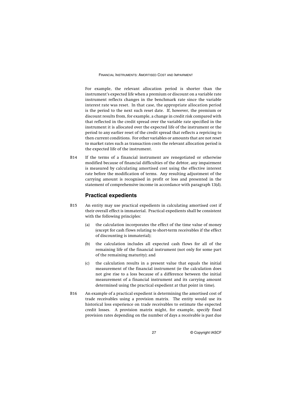For example, the relevant allocation period is shorter than the instrument's expected life when a premium or discount on a variable rate instrument reflects changes in the benchmark rate since the variable interest rate was reset. In that case, the appropriate allocation period is the period to the next such reset date. If, however, the premium or discount results from, for example, a change in credit risk compared with that reflected in the credit spread over the variable rate specified in the instrument it is allocated over the expected life of the instrument or the period to any earlier reset of the credit spread that reflects a repricing to then current conditions. For other variables or amounts that are not reset to market rates such as transaction costs the relevant allocation period is the expected life of the instrument.

B14 If the terms of a financial instrument are renegotiated or otherwise modified because of financial difficulties of the debtor, any impairment is measured by calculating amortised cost using the effective interest rate before the modification of terms. Any resulting adjustment of the carrying amount is recognised in profit or loss and presented in the statement of comprehensive income in accordance with paragraph 13(d).

### **Practical expedients**

- B15 An entity may use practical expedients in calculating amortised cost if their overall effect is immaterial. Practical expedients shall be consistent with the following principles:
	- (a) the calculation incorporates the effect of the time value of money (except for cash flows relating to short-term receivables if the effect of discounting is immaterial);
	- (b) the calculation includes all expected cash flows for all of the remaining life of the financial instrument (not only for some part of the remaining maturity); and
	- (c) the calculation results in a present value that equals the initial measurement of the financial instrument (ie the calculation does not give rise to a loss because of a difference between the initial measurement of a financial instrument and its carrying amount determined using the practical expedient at that point in time).
- B16 An example of a practical expedient is determining the amortised cost of trade receivables using a provision matrix. The entity would use its historical loss experience on trade receivables to estimate the expected credit losses. A provision matrix might, for example, specify fixed provision rates depending on the number of days a receivable is past due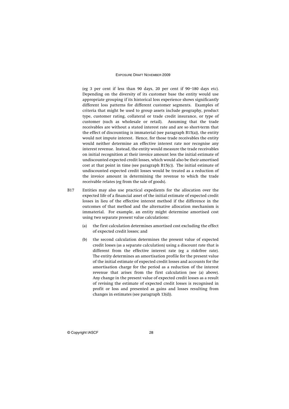(eg 3 per cent if less than 90 days, 20 per cent if 90–180 days etc). Depending on the diversity of its customer base the entity would use appropriate grouping if its historical loss experience shows significantly different loss patterns for different customer segments. Examples of criteria that might be used to group assets include geography, product type, customer rating, collateral or trade credit insurance, or type of customer (such as wholesale or retail). Assuming that the trade receivables are without a stated interest rate and are so short-term that the effect of discounting is immaterial (see paragraph B15(a)), the entity would not impute interest. Hence, for those trade receivables the entity would neither determine an effective interest rate nor recognise any interest revenue. Instead, the entity would measure the trade receivables on initial recognition at their invoice amount less the initial estimate of undiscounted expected credit losses, which would also be their amortised cost at that point in time (see paragraph B15(c)). The initial estimate of undiscounted expected credit losses would be treated as a reduction of the invoice amount in determining the revenue to which the trade receivable relates (eg from the sale of goods).

- B17 Entities may also use practical expedients for the allocation over the expected life of a financial asset of the initial estimate of expected credit losses in lieu of the effective interest method if the difference in the outcomes of that method and the alternative allocation mechanism is immaterial. For example, an entity might determine amortised cost using two separate present value calculations:
	- (a) the first calculation determines amortised cost excluding the effect of expected credit losses; and
	- (b) the second calculation determines the present value of expected credit losses (as a separate calculation) using a discount rate that is different from the effective interest rate (eg a risk-free rate). The entity determines an amortisation profile for the present value of the initial estimate of expected credit losses and accounts for the amortisation charge for the period as a reduction of the interest revenue that arises from the first calculation (see (a) above). Any change in the present value of expected credit losses as a result of revising the estimate of expected credit losses is recognised in profit or loss and presented as gains and losses resulting from changes in estimates (see paragraph 13(d)).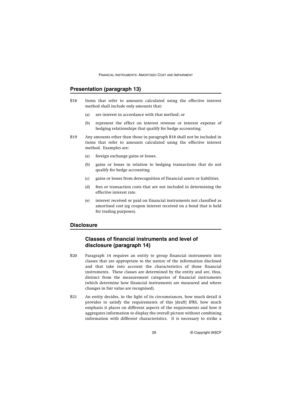### **Presentation (paragraph 13)**

- B18 Items that refer to amounts calculated using the effective interest method shall include only amounts that:
	- (a) are interest in accordance with that method; or
	- (b) represent the effect on interest revenue or interest expense of hedging relationships that qualify for hedge accounting.
- B19 Any amounts other than those in paragraph B18 shall not be included in items that refer to amounts calculated using the effective interest method. Examples are:
	- (a) foreign exchange gains or losses.
	- (b) gains or losses in relation to hedging transactions that do not qualify for hedge accounting.
	- (c) gains or losses from derecognition of financial assets or liabilities.
	- (d) fees or transaction costs that are not included in determining the effective interest rate.
	- (e) interest received or paid on financial instruments not classified as amortised cost (eg coupon interest received on a bond that is held for trading purposes).

### **Disclosure**

### **Classes of financial instruments and level of disclosure (paragraph 14)**

- B20 Paragraph 14 requires an entity to group financial instruments into classes that are appropriate to the nature of the information disclosed and that take into account the characteristics of those financial instruments. These classes are determined by the entity and are, thus, distinct from the measurement categories of financial instruments (which determine how financial instruments are measured and where changes in fair value are recognised).
- B21 An entity decides, in the light of its circumstances, how much detail it provides to satisfy the requirements of this [draft] IFRS, how much emphasis it places on different aspects of the requirements and how it aggregates information to display the overall picture without combining information with different characteristics. It is necessary to strike a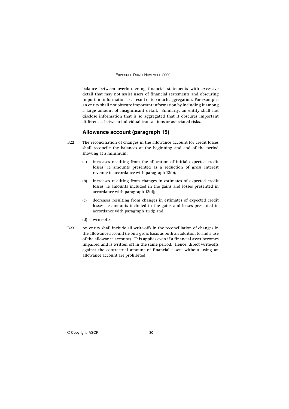balance between overburdening financial statements with excessive detail that may not assist users of financial statements and obscuring important information as a result of too much aggregation. For example, an entity shall not obscure important information by including it among a large amount of insignificant detail. Similarly, an entity shall not disclose information that is so aggregated that it obscures important differences between individual transactions or associated risks.

### **Allowance account (paragraph 15)**

- B22 The reconciliation of changes in the allowance account for credit losses shall reconcile the balances at the beginning and end of the period showing at a minimum:
	- (a) increases resulting from the allocation of initial expected credit losses, ie amounts presented as a reduction of gross interest revenue in accordance with paragraph 13(b);
	- (b) increases resulting from changes in estimates of expected credit losses, ie amounts included in the gains and losses presented in accordance with paragraph 13(d);
	- (c) decreases resulting from changes in estimates of expected credit losses, ie amounts included in the gains and losses presented in accordance with paragraph 13(d); and
	- (d) write-offs.
- B23 An entity shall include all write-offs in the reconciliation of changes in the allowance account (ie on a gross basis as both an addition to and a use of the allowance account). This applies even if a financial asset becomes impaired and is written off in the same period. Hence, direct write-offs against the contractual amount of financial assets without using an allowance account are prohibited.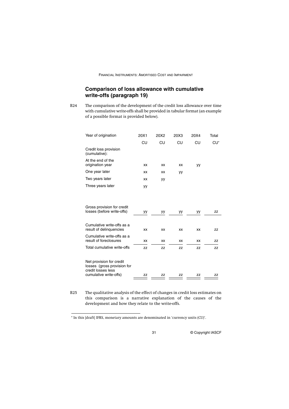### **Comparison of loss allowance with cumulative write-offs (paragraph 19)**

B24 The comparison of the development of the credit loss allowance over time with cumulative write-offs shall be provided in tabular format (an example of a possible format is provided below).

| Year of origination                                                                                     | 20X1      | 20X2      | 20X3      | 20X4      | Total           |
|---------------------------------------------------------------------------------------------------------|-----------|-----------|-----------|-----------|-----------------|
|                                                                                                         | CU        | CU        | CU        | CU        | CU <sup>*</sup> |
| Credit loss provision<br>(cumulative):                                                                  |           |           |           |           |                 |
| At the end of the<br>origination year                                                                   | <b>XX</b> | XX        | <b>XX</b> | уу        |                 |
| One year later                                                                                          | <b>XX</b> | <b>XX</b> | уу        |           |                 |
| Two years later                                                                                         | <b>XX</b> | уу        |           |           |                 |
| Three years later                                                                                       | уу        |           |           |           |                 |
| Gross provision for credit<br>losses (before write-offs)                                                | уу        | уу        | уу        | уу        | <b>ZZ</b>       |
| Cumulative write-offs as a<br>result of delinquencies                                                   | <b>XX</b> | <b>XX</b> | <b>XX</b> | XX        | <b>ZZ</b>       |
| Cumulative write-offs as a<br>result of foreclosures                                                    | <b>XX</b> | <b>XX</b> | <b>XX</b> | <b>XX</b> | ZZ              |
| Total cumulative write-offs                                                                             | <b>ZZ</b> | <b>ZZ</b> | <b>ZZ</b> | <b>ZZ</b> | <b>ZZ</b>       |
| Net provision for credit<br>losses (gross provision for<br>credit losses less<br>cumulative write-offs) | ΖZ        | ΖZ        | ΖZ        | ΖZ        | ΖZ              |

B25 The qualitative analysis of the effect of changes in credit loss estimates on this comparison is a narrative explanation of the causes of the development and how they relate to the write-offs.

<sup>\*</sup> In this [draft] IFRS, monetary amounts are denominated in 'currency units (CU)'.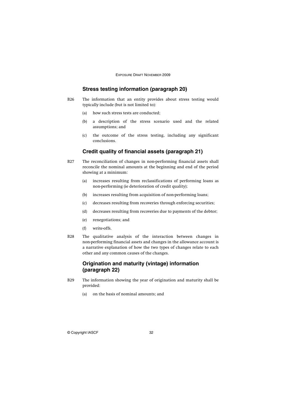### **Stress testing information (paragraph 20)**

- B26 The information that an entity provides about stress testing would typically include (but is not limited to):
	- (a) how such stress tests are conducted;
	- (b) a description of the stress scenario used and the related assumptions; and
	- (c) the outcome of the stress testing, including any significant conclusions.

### **Credit quality of financial assets (paragraph 21)**

- B27 The reconciliation of changes in non-performing financial assets shall reconcile the nominal amounts at the beginning and end of the period showing at a minimum:
	- (a) increases resulting from reclassifications of performing loans as non-performing (ie deterioration of credit quality);
	- (b) increases resulting from acquisition of non-performing loans;
	- (c) decreases resulting from recoveries through enforcing securities;
	- (d) decreases resulting from recoveries due to payments of the debtor;
	- (e) renegotiations; and
	- (f) write-offs.
- B28 The qualitative analysis of the interaction between changes in non-performing financial assets and changes in the allowance account is a narrative explanation of how the two types of changes relate to each other and any common causes of the changes.

### **Origination and maturity (vintage) information (paragraph 22)**

- B29 The information showing the year of origination and maturity shall be provided:
	- (a) on the basis of nominal amounts; and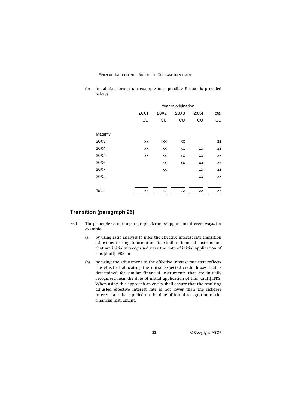- Year of origination 20X1 20X2 20X3 20X4 Total CU CU CU CU CU **Maturity** 20X3 xx xx xx zz 20X4 xx xx xx xx zz 20X5 xx xx xx xx zz 20X6 xx xx xx zz 20X7 xx xx zz 20X8 xx zz Total zz zz zz zz zz
- (b) in tabular format (an example of a possible format is provided below).

### **Transition (paragraph 26)**

- B30 The principle set out in paragraph 26 can be applied in different ways, for example:
	- (a) by using ratio analysis to infer the effective interest rate transition adjustment using information for similar financial instruments that are initially recognised near the date of initial application of this [draft] IFRS; or
	- (b) by using the adjustment to the effective interest rate that reflects the effect of allocating the initial expected credit losses that is determined for similar financial instruments that are initially recognised near the date of initial application of this [draft] IFRS. When using this approach an entity shall ensure that the resulting adjusted effective interest rate is not lower than the risk-free interest rate that applied on the date of initial recognition of the financial instrument.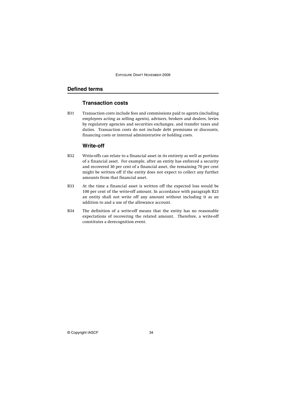### **Defined terms**

### **Transaction costs**

B31 Transaction costs include fees and commissions paid to agents (including employees acting as selling agents), advisers, brokers and dealers, levies by regulatory agencies and securities exchanges, and transfer taxes and duties. Transaction costs do not include debt premiums or discounts, financing costs or internal administrative or holding costs.

### **Write-off**

- B32 Write-offs can relate to a financial asset in its entirety as well as portions of a financial asset. For example, after an entity has enforced a security and recovered 30 per cent of a financial asset, the remaining 70 per cent might be written off if the entity does not expect to collect any further amounts from that financial asset.
- B33 At the time a financial asset is written off the expected loss would be 100 per cent of the write-off amount. In accordance with paragraph B23 an entity shall not write off any amount without including it as an addition to and a use of the allowance account.
- B34 The definition of a write-off means that the entity has no reasonable expectations of recovering the related amount. Therefore, a write-off constitutes a derecognition event.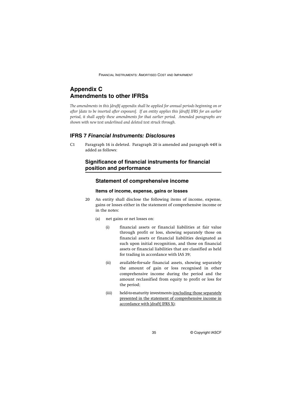### **Appendix C Amendments to other IFRSs**

*The amendments in this [draft] appendix shall be applied for annual periods beginning on or after [date to be inserted after exposure]. If an entity applies this [draft] IFRS for an earlier period, it shall apply these amendments for that earlier period. Amended paragraphs are shown with new text underlined and deleted text struck through.*

### **IFRS 7** *Financial Instruments: Disclosures*

C1 Paragraph 16 is deleted. Paragraph 20 is amended and paragraph 44H is added as follows:

### **Significance of financial instruments for financial position and performance**

### **Statement of comprehensive income**

### **Items of income, expense, gains or losses**

- 20 An entity shall disclose the following items of income, expense, gains or losses either in the statement of comprehensive income or in the notes:
	- (a) net gains or net losses on:
		- (i) financial assets or financial liabilities at fair value through profit or loss, showing separately those on financial assets or financial liabilities designated as such upon initial recognition, and those on financial assets or financial liabilities that are classified as held for trading in accordance with IAS 39;
		- (ii) available-for-sale financial assets, showing separately the amount of gain or loss recognised in other comprehensive income during the period and the amount reclassified from equity to profit or loss for the period;
		- (iii) held-to-maturity investments (excluding those separately presented in the statement of comprehensive income in accordance with [draft] IFRS X);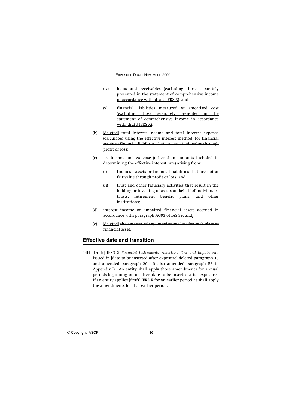- (iv) loans and receivables (excluding those separately presented in the statement of comprehensive income in accordance with [draft] IFRS X); and
- (v) financial liabilities measured at amortised cost (excluding those separately presented in the statement of comprehensive income in accordance with [draft] IFRS X);
- (b) [deleted] total interest income and total interest expense (calculated using the effective interest method) for financial assets or financial liabilities that are not at fair value through profit or loss;
- (c) fee income and expense (other than amounts included in determining the effective interest rate) arising from:
	- (i) financial assets or financial liabilities that are not at fair value through profit or loss; and
	- (ii) trust and other fiduciary activities that result in the holding or investing of assets on behalf of individuals, trusts, retirement benefit plans, and other institutions;
- (d) interest income on impaired financial assets accrued in accordance with paragraph AG93 of IAS 39; and.
- (e) [deleted] the amount of any impairment loss for each class of financial asset.

### **Effective date and transition**

44H [Draft] IFRS X *Financial Instruments: Amortised Cost and Impairment*, issued in [date to be inserted after exposure] deleted paragraph 16 and amended paragraph 20. It also amended paragraph B5 in Appendix B. An entity shall apply those amendments for annual periods beginning on or after [date to be inserted after exposure]. If an entity applies [draft] IFRS X for an earlier period, it shall apply the amendments for that earlier period.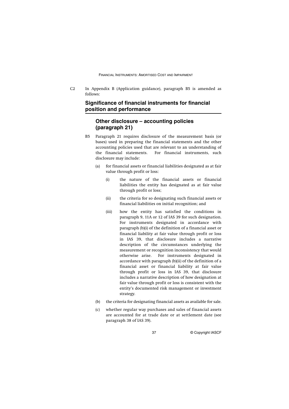C2 In Appendix B (Application guidance), paragraph B5 is amended as follows:

### **Significance of financial instruments for financial position and performance**

### **Other disclosure – accounting policies (paragraph 21)**

- B5 Paragraph 21 requires disclosure of the measurement basis (or bases) used in preparing the financial statements and the other accounting policies used that are relevant to an understanding of the financial statements. For financial instruments, such disclosure may include:
	- (a) for financial assets or financial liabilities designated as at fair value through profit or loss:
		- (i) the nature of the financial assets or financial liabilities the entity has designated as at fair value through profit or loss;
		- (ii) the criteria for so designating such financial assets or financial liabilities on initial recognition; and
		- (iii) how the entity has satisfied the conditions in paragraph 9, 11A or 12 of IAS 39 for such designation. For instruments designated in accordance with paragraph (b)(i) of the definition of a financial asset or financial liability at fair value through profit or loss in IAS 39, that disclosure includes a narrative description of the circumstances underlying the measurement or recognition inconsistency that would otherwise arise. For instruments designated in accordance with paragraph (b)(ii) of the definition of a financial asset or financial liability at fair value through profit or loss in IAS 39, that disclosure includes a narrative description of how designation at fair value through profit or loss is consistent with the entity's documented risk management or investment strategy.
	- (b) the criteria for designating financial assets as available for sale.
	- (c) whether regular way purchases and sales of financial assets are accounted for at trade date or at settlement date (see paragraph 38 of IAS 39).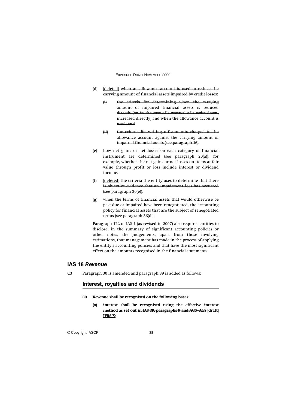- (d) [deleted] when an allowance account is used to reduce the carrying amount of financial assets impaired by credit losses:
	- (i) the criteria for determining when the carrying amount of impaired financial assets is reduced directly (or, in the case of a reversal of a write down, increased directly) and when the allowance account is used; and
	- (ii) the criteria for writing off amounts charged to the allowance account against the carrying amount of impaired financial assets (see paragraph 16).
- (e) how net gains or net losses on each category of financial instrument are determined (see paragraph 20(a)), for example, whether the net gains or net losses on items at fair value through profit or loss include interest or dividend income.
- (f) [deleted] the criteria the entity uses to determine that there is objective evidence that an impairment loss has occurred (see paragraph 20(e)).
- (g) when the terms of financial assets that would otherwise be past due or impaired have been renegotiated, the accounting policy for financial assets that are the subject of renegotiated terms (see paragraph 36(d)).

Paragraph 122 of IAS 1 (as revised in 2007) also requires entities to disclose, in the summary of significant accounting policies or other notes, the judgements, apart from those involving estimations, that management has made in the process of applying the entity's accounting policies and that have the most significant effect on the amounts recognised in the financial statements.

### **IAS 18** *Revenue*

C3 Paragraph 30 is amended and paragraph 39 is added as follows:

### **Interest, royalties and dividends**

- **30 Revenue shall be recognised on the following bases:**
	- **(a) interest shall be recognised using the effective interest method as set out in IAS 39, paragraphs 9 and AG5–AG8 [draft] IFRS X;**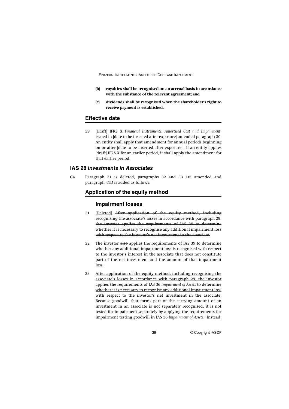- **(b) royalties shall be recognised on an accrual basis in accordance with the substance of the relevant agreement; and**
- **(c) dividends shall be recognised when the shareholder's right to receive payment is established.**

### **Effective date**

39 [Draft] IFRS X *Financial Instruments: Amortised Cost and Impairment*, issued in [date to be inserted after exposure] amended paragraph 30. An entity shall apply that amendment for annual periods beginning on or after [date to be inserted after exposure]. If an entity applies [draft] IFRS X for an earlier period, it shall apply the amendment for that earlier period.

### **IAS 28** *Investments in Associates*

C4 Paragraph 31 is deleted, paragraphs 32 and 33 are amended and paragraph 41D is added as follows:

### **Application of the equity method**

### **Impairment losses**

- 31 [Deleted] After application of the equity method, including recognising the associate's losses in accordance with paragraph 29, the investor applies the requirements of IAS 39 to determine whether it is necessary to recognise any additional impairment loss with respect to the investor's net investment in the associate.
- 32 The investor also applies the requirements of IAS 39 to determine whether any additional impairment loss is recognised with respect to the investor's interest in the associate that does not constitute part of the net investment and the amount of that impairment loss.
- 33 After application of the equity method, including recognising the associate's losses in accordance with paragraph 29, the investor applies the requirements of IAS 36 *Impairment of Assets* to determine whether it is necessary to recognise any additional impairment loss with respect to the investor's net investment in the associate. Because goodwill that forms part of the carrying amount of an investment in an associate is not separately recognised, it is not tested for impairment separately by applying the requirements for impairment testing goodwill in IAS 36 *Impairment of Assets*. Instead,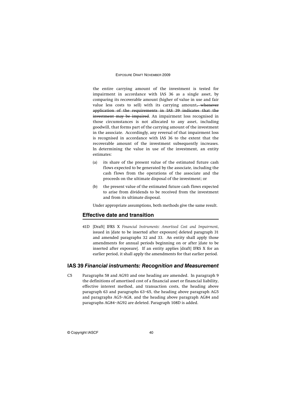the entire carrying amount of the investment is tested for impairment in accordance with IAS 36 as a single asset, by comparing its recoverable amount (higher of value in use and fair value less costs to sell) with its carrying amount, whenever application of the requirements in IAS 39 indicates that the investment may be impaired. An impairment loss recognised in those circumstances is not allocated to any asset, including goodwill, that forms part of the carrying amount of the investment in the associate. Accordingly, any reversal of that impairment loss is recognised in accordance with IAS 36 to the extent that the recoverable amount of the investment subsequently increases. In determining the value in use of the investment, an entity estimates:

- (a) its share of the present value of the estimated future cash flows expected to be generated by the associate, including the cash flows from the operations of the associate and the proceeds on the ultimate disposal of the investment; or
- (b) the present value of the estimated future cash flows expected to arise from dividends to be received from the investment and from its ultimate disposal.

Under appropriate assumptions, both methods give the same result.

### **Effective date and transition**

41D [Draft] IFRS X *Financial Instruments: Amortised Cost and Impairment*, issued in [date to be inserted after exposure] deleted paragraph 31 and amended paragraphs 32 and 33. An entity shall apply those amendments for annual periods beginning on or after [date to be inserted after exposure]. If an entity applies [draft] IFRS X for an earlier period, it shall apply the amendments for that earlier period.

### **IAS 39** *Financial instruments: Recognition and Measurement*

C5 Paragraphs 58 and AG93 and one heading are amended. In paragraph 9 the definitions of amortised cost of a financial asset or financial liability, effective interest method, and transaction costs, the heading above paragraph 63 and paragraphs 63–65, the heading above paragraph AG5 and paragraphs AG5–AG8, and the heading above paragraph AG84 and paragraphs AG84–AG92 are deleted. Paragraph 108D is added.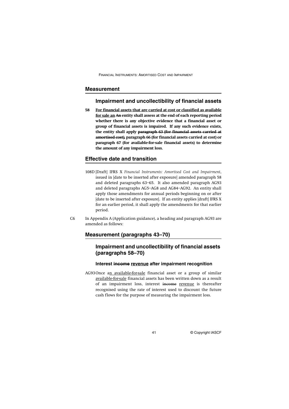### **Measurement**

### **Impairment and uncollectibility of financial assets**

**58 For financial assets that are carried at cost or classified as available for sale an An entity shall assess at the end of each reporting period whether there is any objective evidence that a financial asset or group of financial assets is impaired. If any such evidence exists, the entity shall apply paragraph 63 (for financial assets carried at amortised cost), paragraph 66 (for financial assets carried at cost) or paragraph 67 (for available-for-sale financial assets) to determine the amount of any impairment loss.**

### **Effective date and transition**

- 108D [Draft] IFRS X *Financial Instruments: Amortised Cost and Impairment*, issued in [date to be inserted after exposure] amended paragraph 58 and deleted paragraphs 63–65. It also amended paragraph AG93 and deleted paragraphs AG5–AG8 and AG84–AG92. An entity shall apply those amendments for annual periods beginning on or after [date to be inserted after exposure]. If an entity applies [draft] IFRS X for an earlier period, it shall apply the amendments for that earlier period.
- C6 In Appendix A (Application guidance), a heading and paragraph AG93 are amended as follows:

### **Measurement (paragraphs 43–70)**

### **Impairment and uncollectibility of financial assets (paragraphs 58–70)**

#### **Interest income revenue after impairment recognition**

AG93Once an available-for-sale financial asset or a group of similar available-for-sale financial assets has been written down as a result of an impairment loss, interest income revenue is thereafter recognised using the rate of interest used to discount the future cash flows for the purpose of measuring the impairment loss.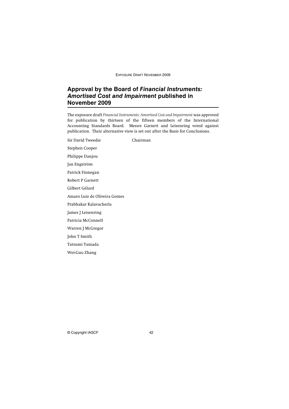### **Approval by the Board of** *Financial Instruments: Amortised Cost and Impairment* **published in November 2009**

The exposure draft *Financial Instruments: Amortised Cost and Impairment* was approved for publication by thirteen of the fifteen members of the International Accounting Standards Board. Messrs Garnett and Leisenring voted against publication. Their alternative view is set out after the Basis for Conclusions.

| Chairman |
|----------|
|          |
|          |
|          |
|          |
|          |
|          |
|          |
|          |
|          |
|          |
|          |
|          |
|          |
|          |
|          |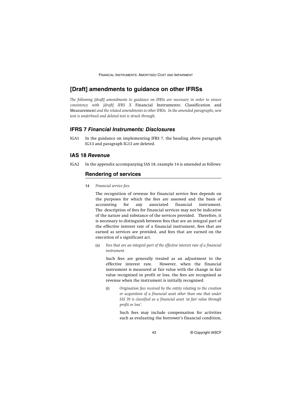### **[Draft] amendments to guidance on other IFRSs**

*The following [draft] amendments to guidance on IFRSs are necessary in order to ensure consistency with [draft] IFRS X* Financial Instruments: Classification and Measurement *and the related amendments to other IFRSs. In the amended paragraphs, new text is underlined and deleted text is struck through.*

### **IFRS 7** *Financial Instruments: Disclosures*

IGA1 In the guidance on implementing IFRS 7, the heading above paragraph IG13 and paragraph IG13 are deleted.

### **IAS 18** *Revenue*

IGA2 In the appendix accompanying IAS 18, example 14 is amended as follows:

### **Rendering of services**

14 *Financial service fees.*

The recognition of revenue for financial service fees depends on the purposes for which the fees are assessed and the basis of accounting for any associated financial instrument. The description of fees for financial services may not be indicative of the nature and substance of the services provided. Therefore, it is necessary to distinguish between fees that are an integral part of the effective interest rate of a financial instrument, fees that are earned as services are provided, and fees that are earned on the execution of a significant act.

(a) *Fees that are an integral part of the effective interest rate of a financial instrument.*

Such fees are generally treated as an adjustment to the effective interest rate. However, when the financial instrument is measured at fair value with the change in fair value recognised in profit or loss, the fees are recognised as revenue when the instrument is initially recognised.

(i) *Origination fees received by the entity relating to the creation or acquisition of a financial asset other than one that under IAS 39 is classified as a financial asset 'at fair value through profit or loss'.*

> Such fees may include compensation for activities such as evaluating the borrower's financial condition,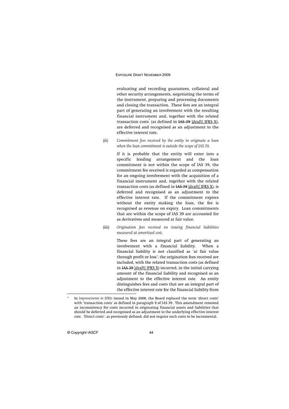evaluating and recording guarantees, collateral and other security arrangements, negotiating the terms of the instrument, preparing and processing documents and closing the transaction. These fees are an integral part of generating an involvement with the resulting financial instrument and, together with the related transaction costs<sup>\*</sup> (as defined in IAS 39 [draft] IFRS X), are deferred and recognised as an adjustment to the effective interest rate.

(ii) *Commitment fees received by the entity to originate a loan when the loan commitment is outside the scope of IAS 39.*

> If it is probable that the entity will enter into a specific lending arrangement and the loan commitment is not within the scope of IAS 39, the commitment fee received is regarded as compensation for an ongoing involvement with the acquisition of a financial instrument and, together with the related transaction costs (as defined in IAS 39 [draft] IFRS X), is deferred and recognised as an adjustment to the effective interest rate. If the commitment expires without the entity making the loan, the fee is recognised as revenue on expiry. Loan commitments that are within the scope of IAS 39 are accounted for as derivatives and measured at fair value.

(iii) *Origination fees received on issuing financial liabilities measured at amortised cost.*

> These fees are an integral part of generating an involvement with a financial liability. When a financial liability is not classified as 'at fair value through profit or loss', the origination fees received are included, with the related transaction costs (as defined in IAS 39 [draft] IFRS X) incurred, in the initial carrying amount of the financial liability and recognised as an adjustment to the effective interest rate. An entity distinguishes fees and costs that are an integral part of the effective interest rate for the financial liability from

In *Improvements to IFRSs* issued in May 2008, the Board replaced the term 'direct costs' with 'transaction costs' as defined in paragraph 9 of IAS 39. This amendment removed an inconsistency for costs incurred in originating financial assets and liabilities that should be deferred and recognised as an adjustment to the underlying effective interest rate. 'Direct costs', as previously defined, did not require such costs to be incremental.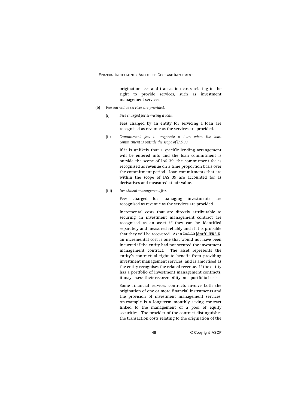origination fees and transaction costs relating to the right to provide services, such as investment management services.

- (b) *Fees earned as services are provided.*
	- (i) *Fees charged for servicing a loan.*

Fees charged by an entity for servicing a loan are recognised as revenue as the services are provided.

(ii) *Commitment fees to originate a loan when the loan commitment is outside the scope of IAS 39.*

> If it is unlikely that a specific lending arrangement will be entered into and the loan commitment is outside the scope of IAS 39, the commitment fee is recognised as revenue on a time proportion basis over the commitment period. Loan commitments that are within the scope of IAS 39 are accounted for as derivatives and measured at fair value.

(iii) *Investment management fees.*

Fees charged for managing investments are recognised as revenue as the services are provided.

Incremental costs that are directly attributable to securing an investment management contract are recognised as an asset if they can be identified separately and measured reliably and if it is probable that they will be recovered. As in IAS 39 [draft] IFRS X, an incremental cost is one that would not have been incurred if the entity had not secured the investment management contract. The asset represents the entity's contractual right to benefit from providing investment management services, and is amortised as the entity recognises the related revenue. If the entity has a portfolio of investment management contracts, it may assess their recoverability on a portfolio basis.

Some financial services contracts involve both the origination of one or more financial instruments and the provision of investment management services. An example is a long-term monthly saving contract linked to the management of a pool of equity securities. The provider of the contract distinguishes the transaction costs relating to the origination of the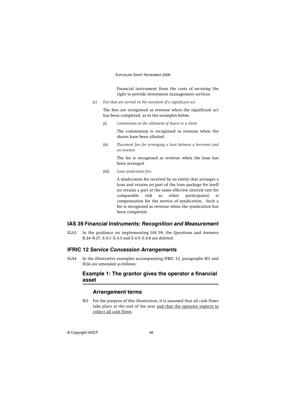financial instrument from the costs of securing the right to provide investment management services.

(c) *Fees that are earned on the execution of a significant act.*

The fees are recognised as revenue when the significant act has been completed, as in the examples below.

(i) *Commission on the allotment of shares to a client.*

The commission is recognised as revenue when the shares have been allotted.

(ii) *Placement fees for arranging a loan between a borrower and an investor.*

> The fee is recognised as revenue when the loan has been arranged.

(iii) *Loan syndication fees.*

A syndication fee received by an entity that arranges a loan and retains no part of the loan package for itself (or retains a part at the same effective interest rate for comparable risk as other participants) is compensation for the service of syndication. Such a fee is recognised as revenue when the syndication has been completed.

### **IAS 39** *Financial Instruments: Recognition and Measurement*

IGA3 In the guidance on implementing IAS 39, the Questions and Answers B.24–B.27, E.4.1–E.4.3 and E.4.5–E.4.8 are deleted.

### **IFRIC 12** *Service Concession Arrangements*

IGA4 In the illustrative examples accompanying IFRIC 12, paragraphs IE3 and IE26 are amended as follows:

### **Example 1: The grantor gives the operator a financial asset**

### **Arrangement terms**

IE3 For the purpose of this illustration, it is assumed that all cash flows take place at the end of the year and that the operator expects to collect all cash flows.